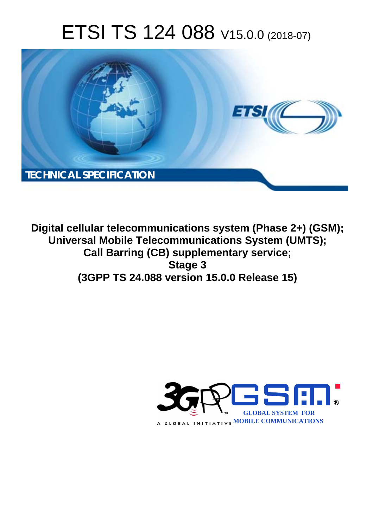# ETSI TS 124 088 V15.0.0 (2018-07)



**Digital cellular telecommunications system (Phase 2+) (GSM); Universal Mobile Telecommunications System (UMTS); Call Barring (CB) supplementary service; Stage 3 (3GPP TS 24.088 version 15.0.0 Release 15)** 

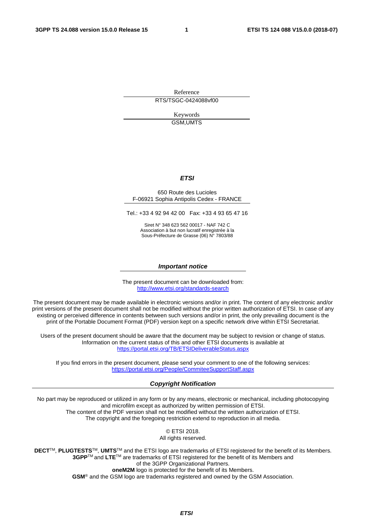Reference RTS/TSGC-0424088vf00

> Keywords GSM,UMTS

#### *ETSI*

#### 650 Route des Lucioles F-06921 Sophia Antipolis Cedex - FRANCE

Tel.: +33 4 92 94 42 00 Fax: +33 4 93 65 47 16

Siret N° 348 623 562 00017 - NAF 742 C Association à but non lucratif enregistrée à la Sous-Préfecture de Grasse (06) N° 7803/88

#### *Important notice*

The present document can be downloaded from: <http://www.etsi.org/standards-search>

The present document may be made available in electronic versions and/or in print. The content of any electronic and/or print versions of the present document shall not be modified without the prior written authorization of ETSI. In case of any existing or perceived difference in contents between such versions and/or in print, the only prevailing document is the print of the Portable Document Format (PDF) version kept on a specific network drive within ETSI Secretariat.

Users of the present document should be aware that the document may be subject to revision or change of status. Information on the current status of this and other ETSI documents is available at <https://portal.etsi.org/TB/ETSIDeliverableStatus.aspx>

If you find errors in the present document, please send your comment to one of the following services: <https://portal.etsi.org/People/CommiteeSupportStaff.aspx>

#### *Copyright Notification*

No part may be reproduced or utilized in any form or by any means, electronic or mechanical, including photocopying and microfilm except as authorized by written permission of ETSI. The content of the PDF version shall not be modified without the written authorization of ETSI. The copyright and the foregoing restriction extend to reproduction in all media.

> © ETSI 2018. All rights reserved.

**DECT**TM, **PLUGTESTS**TM, **UMTS**TM and the ETSI logo are trademarks of ETSI registered for the benefit of its Members. **3GPP**TM and **LTE**TM are trademarks of ETSI registered for the benefit of its Members and of the 3GPP Organizational Partners. **oneM2M** logo is protected for the benefit of its Members.

**GSM**® and the GSM logo are trademarks registered and owned by the GSM Association.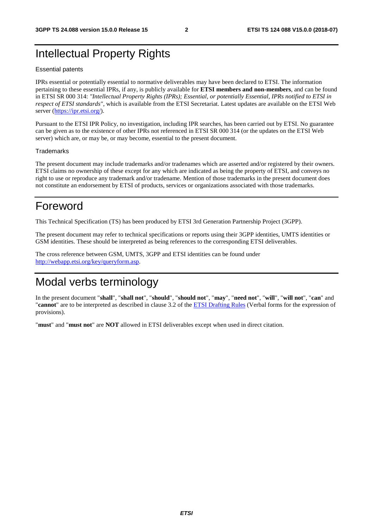# Intellectual Property Rights

#### Essential patents

IPRs essential or potentially essential to normative deliverables may have been declared to ETSI. The information pertaining to these essential IPRs, if any, is publicly available for **ETSI members and non-members**, and can be found in ETSI SR 000 314: *"Intellectual Property Rights (IPRs); Essential, or potentially Essential, IPRs notified to ETSI in respect of ETSI standards"*, which is available from the ETSI Secretariat. Latest updates are available on the ETSI Web server ([https://ipr.etsi.org/\)](https://ipr.etsi.org/).

Pursuant to the ETSI IPR Policy, no investigation, including IPR searches, has been carried out by ETSI. No guarantee can be given as to the existence of other IPRs not referenced in ETSI SR 000 314 (or the updates on the ETSI Web server) which are, or may be, or may become, essential to the present document.

#### **Trademarks**

The present document may include trademarks and/or tradenames which are asserted and/or registered by their owners. ETSI claims no ownership of these except for any which are indicated as being the property of ETSI, and conveys no right to use or reproduce any trademark and/or tradename. Mention of those trademarks in the present document does not constitute an endorsement by ETSI of products, services or organizations associated with those trademarks.

# Foreword

This Technical Specification (TS) has been produced by ETSI 3rd Generation Partnership Project (3GPP).

The present document may refer to technical specifications or reports using their 3GPP identities, UMTS identities or GSM identities. These should be interpreted as being references to the corresponding ETSI deliverables.

The cross reference between GSM, UMTS, 3GPP and ETSI identities can be found under [http://webapp.etsi.org/key/queryform.asp.](http://webapp.etsi.org/key/queryform.asp)

# Modal verbs terminology

In the present document "**shall**", "**shall not**", "**should**", "**should not**", "**may**", "**need not**", "**will**", "**will not**", "**can**" and "**cannot**" are to be interpreted as described in clause 3.2 of the [ETSI Drafting Rules](https://portal.etsi.org/Services/editHelp!/Howtostart/ETSIDraftingRules.aspx) (Verbal forms for the expression of provisions).

"**must**" and "**must not**" are **NOT** allowed in ETSI deliverables except when used in direct citation.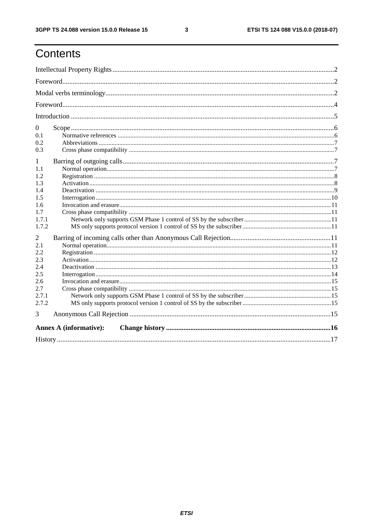$\mathbf{3}$ 

# Contents

| $\boldsymbol{0}$              |  |
|-------------------------------|--|
| 0.1                           |  |
| 0.2                           |  |
| 0.3                           |  |
| 1                             |  |
| 1.1                           |  |
| 1.2                           |  |
| 1.3                           |  |
| 1.4                           |  |
| 1.5                           |  |
| 1.6                           |  |
| 17                            |  |
| 1.7.1                         |  |
| 1.7.2                         |  |
| 2                             |  |
| 2.1                           |  |
| 2.2                           |  |
| 2.3                           |  |
| 2.4                           |  |
| 2.5                           |  |
| 2.6                           |  |
| 2.7                           |  |
| 2.7.1                         |  |
| 2.7.2                         |  |
| 3                             |  |
| <b>Annex A (informative):</b> |  |
|                               |  |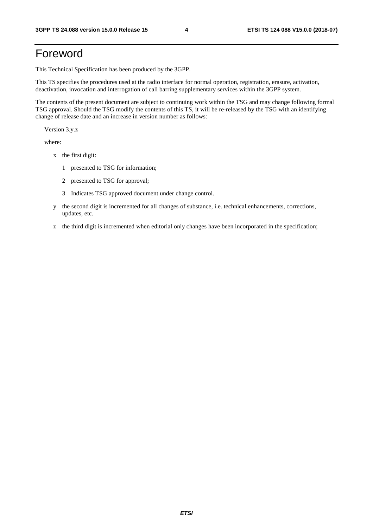# Foreword

This Technical Specification has been produced by the 3GPP.

This TS specifies the procedures used at the radio interface for normal operation, registration, erasure, activation, deactivation, invocation and interrogation of call barring supplementary services within the 3GPP system.

The contents of the present document are subject to continuing work within the TSG and may change following formal TSG approval. Should the TSG modify the contents of this TS, it will be re-released by the TSG with an identifying change of release date and an increase in version number as follows:

Version 3.y.z

where:

- x the first digit:
	- 1 presented to TSG for information;
	- 2 presented to TSG for approval;
	- 3 Indicates TSG approved document under change control.
- y the second digit is incremented for all changes of substance, i.e. technical enhancements, corrections, updates, etc.
- z the third digit is incremented when editorial only changes have been incorporated in the specification;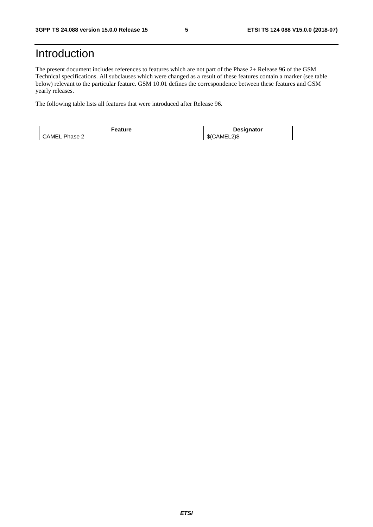# Introduction

The present document includes references to features which are not part of the Phase 2+ Release 96 of the GSM Technical specifications. All subclauses which were changed as a result of these features contain a marker (see table below) relevant to the particular feature. GSM 10.01 defines the correspondence between these features and GSM yearly releases.

The following table lists all features that were introduced after Release 96.

| <sup>⊏</sup> eature | sianator<br>Des.            |
|---------------------|-----------------------------|
| Phase 2<br>CAMEL    | E[2]<br>\$0<br>…AMH' ∶<br>w |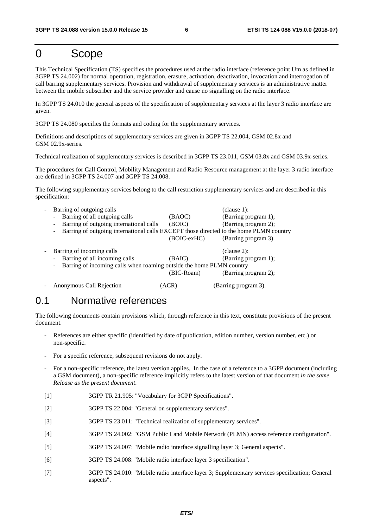### 0 Scope

This Technical Specification (TS) specifies the procedures used at the radio interface (reference point Um as defined in 3GPP TS 24.002) for normal operation, registration, erasure, activation, deactivation, invocation and interrogation of call barring supplementary services. Provision and withdrawal of supplementary services is an administrative matter between the mobile subscriber and the service provider and cause no signalling on the radio interface.

In 3GPP TS 24.010 the general aspects of the specification of supplementary services at the layer 3 radio interface are given.

3GPP TS 24.080 specifies the formats and coding for the supplementary services.

Definitions and descriptions of supplementary services are given in 3GPP TS 22.004, GSM 02.8x and GSM 02.9x-series.

Technical realization of supplementary services is described in 3GPP TS 23.011, GSM 03.8x and GSM 03.9x-series.

The procedures for Call Control, Mobility Management and Radio Resource management at the layer 3 radio interface are defined in 3GPP TS 24.007 and 3GPP TS 24.008.

The following supplementary services belong to the call restriction supplementary services and are described in this specification:

| Barring of outgoing calls                                                                                                            |                      | $clause 1)$ :                                                 |
|--------------------------------------------------------------------------------------------------------------------------------------|----------------------|---------------------------------------------------------------|
| Barring of all outgoing calls<br>$\sim$ $-$                                                                                          | (BAOC)               | (Barring program 1);                                          |
| Barring of outgoing international calls<br>$\sim$                                                                                    | (BOIC)               | (Barring program 2);                                          |
| - Barring of outgoing international calls EXCEPT those directed to the home PLMN country                                             |                      |                                                               |
|                                                                                                                                      | (BOIC-exHC)          | (Barring program 3).                                          |
| Barring of incoming calls<br>- Barring of all incoming calls<br>Barring of incoming calls when roaming outside the home PLMN country | (BAIC)<br>(BIC-Roam) | $clause 2)$ :<br>(Barring program 1);<br>(Barring program 2); |
| Anonymous Call Rejection                                                                                                             | (ACR)                | (Barring program 3).                                          |

### 0.1 Normative references

The following documents contain provisions which, through reference in this text, constitute provisions of the present document.

- References are either specific (identified by date of publication, edition number, version number, etc.) or non-specific.
- For a specific reference, subsequent revisions do not apply.
- For a non-specific reference, the latest version applies. In the case of a reference to a 3GPP document (including a GSM document), a non-specific reference implicitly refers to the latest version of that document *in the same Release as the present document*.
- [1] 3GPP TR 21.905: "Vocabulary for 3GPP Specifications".
- [2] 3GPP TS 22.004: "General on supplementary services".
- [3] 3GPP TS 23.011: "Technical realization of supplementary services".
- [4] 3GPP TS 24.002: "GSM Public Land Mobile Network (PLMN) access reference configuration".
- [5] 3GPP TS 24.007: "Mobile radio interface signalling layer 3; General aspects".
- [6] 3GPP TS 24.008: "Mobile radio interface layer 3 specification".
- [7] 3GPP TS 24.010: "Mobile radio interface layer 3; Supplementary services specification; General aspects".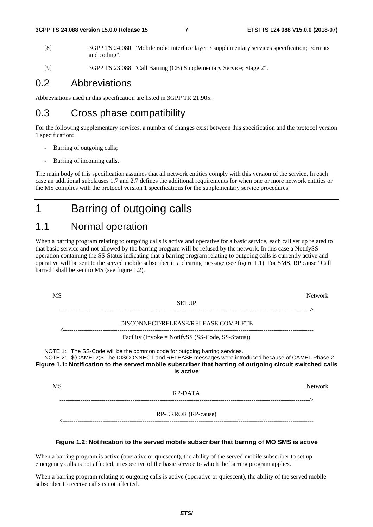- [8] 3GPP TS 24.080: "Mobile radio interface layer 3 supplementary services specification; Formats and coding".
- [9] 3GPP TS 23.088: "Call Barring (CB) Supplementary Service; Stage 2".

### 0.2 Abbreviations

Abbreviations used in this specification are listed in 3GPP TR 21.905.

### 0.3 Cross phase compatibility

For the following supplementary services, a number of changes exist between this specification and the protocol version 1 specification:

- Barring of outgoing calls;
- Barring of incoming calls.

The main body of this specification assumes that all network entities comply with this version of the service. In each case an additional subclauses 1.7 and 2.7 defines the additional requirements for when one or more network entities or the MS complies with the protocol version 1 specifications for the supplementary service procedures.

# 1 Barring of outgoing calls

### 1.1 Normal operation

When a barring program relating to outgoing calls is active and operative for a basic service, each call set up related to that basic service and not allowed by the barring program will be refused by the network. In this case a NotifySS operation containing the SS-Status indicating that a barring program relating to outgoing calls is currently active and operative will be sent to the served mobile subscriber in a clearing message (see figure 1.1). For SMS, RP cause "Call barred" shall be sent to MS (see figure 1.2).

| MS |                                                                                                                                                                                                                                                                                                           | Network        |
|----|-----------------------------------------------------------------------------------------------------------------------------------------------------------------------------------------------------------------------------------------------------------------------------------------------------------|----------------|
|    | <b>SETUP</b>                                                                                                                                                                                                                                                                                              |                |
|    |                                                                                                                                                                                                                                                                                                           |                |
|    | DISCONNECT/RELEASE/RELEASE COMPLETE                                                                                                                                                                                                                                                                       |                |
|    | Facility (Invoke = NotifySS (SS-Code, SS-Status))                                                                                                                                                                                                                                                         |                |
|    | NOTE 1: The SS-Code will be the common code for outgoing barring services.<br>NOTE 2: \$(CAMEL2)\$ The DISCONNECT and RELEASE messages were introduced because of CAMEL Phase 2.<br>Figure 1.1: Notification to the served mobile subscriber that barring of outgoing circuit switched calls<br>is active |                |
| MS | RP-DATA                                                                                                                                                                                                                                                                                                   | <b>Network</b> |
|    | RP-ERROR (RP-cause)                                                                                                                                                                                                                                                                                       |                |

#### **Figure 1.2: Notification to the served mobile subscriber that barring of MO SMS is active**

When a barring program is active (operative or quiescent), the ability of the served mobile subscriber to set up emergency calls is not affected, irrespective of the basic service to which the barring program applies.

When a barring program relating to outgoing calls is active (operative or quiescent), the ability of the served mobile subscriber to receive calls is not affected.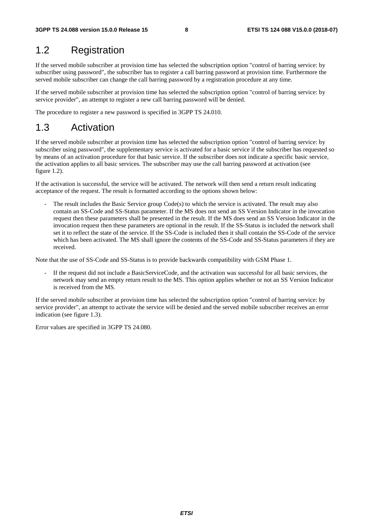### 1.2 Registration

If the served mobile subscriber at provision time has selected the subscription option "control of barring service: by subscriber using password", the subscriber has to register a call barring password at provision time. Furthermore the served mobile subscriber can change the call barring password by a registration procedure at any time.

If the served mobile subscriber at provision time has selected the subscription option "control of barring service: by service provider", an attempt to register a new call barring password will be denied.

The procedure to register a new password is specified in 3GPP TS 24.010.

### 1.3 Activation

If the served mobile subscriber at provision time has selected the subscription option "control of barring service: by subscriber using password", the supplementary service is activated for a basic service if the subscriber has requested so by means of an activation procedure for that basic service. If the subscriber does not indicate a specific basic service, the activation applies to all basic services. The subscriber may use the call barring password at activation (see figure 1.2).

If the activation is successful, the service will be activated. The network will then send a return result indicating acceptance of the request. The result is formatted according to the options shown below:

The result includes the Basic Service group  $Code(s)$  to which the service is activated. The result may also contain an SS-Code and SS-Status parameter. If the MS does not send an SS Version Indicator in the invocation request then these parameters shall be presented in the result. If the MS does send an SS Version Indicator in the invocation request then these parameters are optional in the result. If the SS-Status is included the network shall set it to reflect the state of the service. If the SS-Code is included then it shall contain the SS-Code of the service which has been activated. The MS shall ignore the contents of the SS-Code and SS-Status parameters if they are received.

Note that the use of SS-Code and SS-Status is to provide backwards compatibility with GSM Phase 1.

If the request did not include a BasicServiceCode, and the activation was successful for all basic services, the network may send an empty return result to the MS. This option applies whether or not an SS Version Indicator is received from the MS.

If the served mobile subscriber at provision time has selected the subscription option "control of barring service: by service provider", an attempt to activate the service will be denied and the served mobile subscriber receives an error indication (see figure 1.3).

Error values are specified in 3GPP TS 24.080.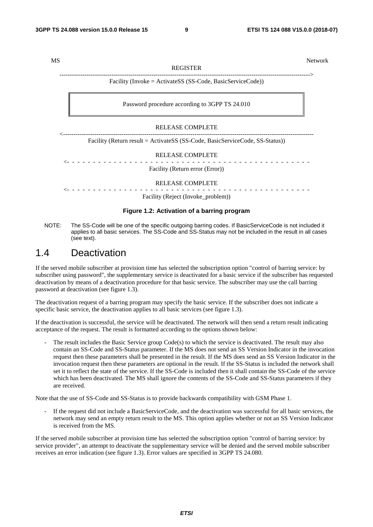REGISTER

MS Network

Facility (Invoke = ActivateSS (SS-Code, BasicServiceCode))

------------------------------------------------------------------------------------------------------------------------>

#### Password procedure according to 3GPP TS 24.010

#### RELEASE COMPLETE <------------------------------------------------------------------------------------------------------------------------

Facility (Return result = ActivateSS (SS-Code, BasicServiceCode, SS-Status))

RELEASE COMPLETE

<- - - - - - - - - - - - - - - - - - - - - - - - - - - - - - - - - - - - - - - - - - - - - - - Facility (Return error (Error))

#### RELEASE COMPLETE

<- - - - - - - - - - - - - - - - - - - - - - - - - - - - - - - - - - - - - - - - - - - - - - -

Facility (Reject (Invoke\_problem))

#### **Figure 1.2: Activation of a barring program**

NOTE: The SS-Code will be one of the specific outgoing barring codes. If BasicServiceCode is not included it applies to all basic services. The SS-Code and SS-Status may not be included in the result in all cases (see text).

### 1.4 Deactivation

If the served mobile subscriber at provision time has selected the subscription option "control of barring service: by subscriber using password", the supplementary service is deactivated for a basic service if the subscriber has requested deactivation by means of a deactivation procedure for that basic service. The subscriber may use the call barring password at deactivation (see figure 1.3).

The deactivation request of a barring program may specify the basic service. If the subscriber does not indicate a specific basic service, the deactivation applies to all basic services (see figure 1.3).

If the deactivation is successful, the service will be deactivated. The network will then send a return result indicating acceptance of the request. The result is formatted according to the options shown below:

The result includes the Basic Service group  $Code(s)$  to which the service is deactivated. The result may also contain an SS-Code and SS-Status parameter. If the MS does not send an SS Version Indicator in the invocation request then these parameters shall be presented in the result. If the MS does send an SS Version Indicator in the invocation request then these parameters are optional in the result. If the SS-Status is included the network shall set it to reflect the state of the service. If the SS-Code is included then it shall contain the SS-Code of the service which has been deactivated. The MS shall ignore the contents of the SS-Code and SS-Status parameters if they are received.

Note that the use of SS-Code and SS-Status is to provide backwards compatibility with GSM Phase 1.

- If the request did not include a BasicServiceCode, and the deactivation was successful for all basic services, the network may send an empty return result to the MS. This option applies whether or not an SS Version Indicator is received from the MS.

If the served mobile subscriber at provision time has selected the subscription option "control of barring service: by service provider", an attempt to deactivate the supplementary service will be denied and the served mobile subscriber receives an error indication (see figure 1.3). Error values are specified in 3GPP TS 24.080.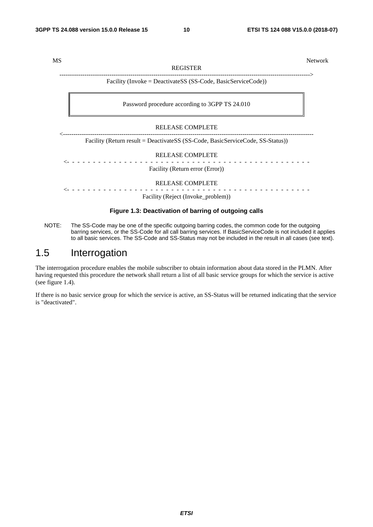| MS | <b>REGISTER</b>                                                                | <b>Network</b> |
|----|--------------------------------------------------------------------------------|----------------|
|    | Facility (Invoke = DeactivateSS (SS-Code, BasicServiceCode))                   |                |
|    | Password procedure according to 3GPP TS 24.010                                 |                |
|    | <b>RELEASE COMPLETE</b>                                                        |                |
|    | Facility (Return result = DeactivateSS (SS-Code, BasicServiceCode, SS-Status)) |                |
|    | <b>RELEASE COMPLETE</b>                                                        |                |
|    | Facility (Return error (Error))                                                |                |
|    | <b>RELEASE COMPLETE</b>                                                        |                |
|    | Facility (Reject (Invoke_problem))                                             |                |

#### **Figure 1.3: Deactivation of barring of outgoing calls**

NOTE: The SS-Code may be one of the specific outgoing barring codes, the common code for the outgoing barring services, or the SS-Code for all call barring services. If BasicServiceCode is not included it applies to all basic services. The SS-Code and SS-Status may not be included in the result in all cases (see text).

### 1.5 Interrogation

The interrogation procedure enables the mobile subscriber to obtain information about data stored in the PLMN. After having requested this procedure the network shall return a list of all basic service groups for which the service is active (see figure 1.4).

If there is no basic service group for which the service is active, an SS-Status will be returned indicating that the service is "deactivated".

*ETSI*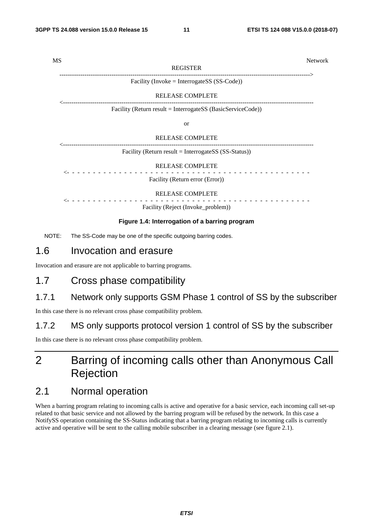| MS | <b>REGISTER</b>                                                | <b>Network</b> |
|----|----------------------------------------------------------------|----------------|
|    | Facility (Invoke = Interrogate SS $(SS-Code)$ )                |                |
|    | <b>RELEASE COMPLETE</b>                                        |                |
|    | Facility (Return result = Interrogate SS (Basic Service Code)) |                |
|    | <b>or</b>                                                      |                |
|    |                                                                |                |

#### RELEASE COMPLETE

#### <------------------------------------------------------------------------------------------------------------------------ Facility (Return result = InterrogateSS (SS-Status))

### RELEASE COMPLETE

<- - - - - - - - - - - - - - - - - - - - - - - - - - - - - - - - - - - - - - - - - - - - - - - Facility (Return error (Error))

RELEASE COMPLETE

<- - - - - - - - - - - - - - - - - - - - - - - - - - - - - - - - - - - - - - - - - - - - - - -

Facility (Reject (Invoke\_problem))

#### **Figure 1.4: Interrogation of a barring program**

NOTE: The SS-Code may be one of the specific outgoing barring codes.

### 1.6 Invocation and erasure

Invocation and erasure are not applicable to barring programs.

### 1.7 Cross phase compatibility

### 1.7.1 Network only supports GSM Phase 1 control of SS by the subscriber

In this case there is no relevant cross phase compatibility problem.

#### 1.7.2 MS only supports protocol version 1 control of SS by the subscriber

In this case there is no relevant cross phase compatibility problem.

# 2 Barring of incoming calls other than Anonymous Call Rejection

### 2.1 Normal operation

When a barring program relating to incoming calls is active and operative for a basic service, each incoming call set-up related to that basic service and not allowed by the barring program will be refused by the network. In this case a NotifySS operation containing the SS-Status indicating that a barring program relating to incoming calls is currently active and operative will be sent to the calling mobile subscriber in a clearing message (see figure 2.1).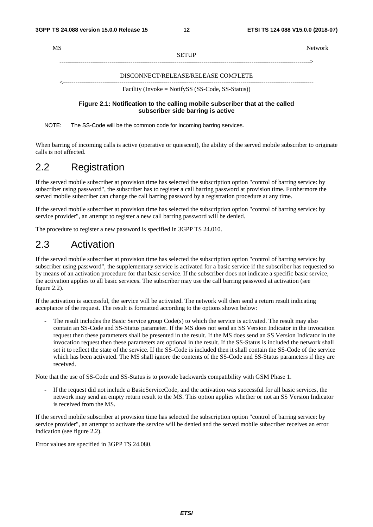| MS | <b>SETUP</b>                                      | Network |
|----|---------------------------------------------------|---------|
|    | DISCONNECT/RELEASE/RELEASE COMPLETE               |         |
|    | Facility (Invoke = NotifySS (SS-Code, SS-Status)) |         |

#### **Figure 2.1: Notification to the calling mobile subscriber that at the called subscriber side barring is active**

NOTE: The SS-Code will be the common code for incoming barring services.

When barring of incoming calls is active (operative or quiescent), the ability of the served mobile subscriber to originate calls is not affected.

### 2.2 Registration

If the served mobile subscriber at provision time has selected the subscription option "control of barring service: by subscriber using password", the subscriber has to register a call barring password at provision time. Furthermore the served mobile subscriber can change the call barring password by a registration procedure at any time.

If the served mobile subscriber at provision time has selected the subscription option "control of barring service: by service provider", an attempt to register a new call barring password will be denied.

The procedure to register a new password is specified in 3GPP TS 24.010.

### 2.3 Activation

If the served mobile subscriber at provision time has selected the subscription option "control of barring service: by subscriber using password", the supplementary service is activated for a basic service if the subscriber has requested so by means of an activation procedure for that basic service. If the subscriber does not indicate a specific basic service, the activation applies to all basic services. The subscriber may use the call barring password at activation (see figure 2.2).

If the activation is successful, the service will be activated. The network will then send a return result indicating acceptance of the request. The result is formatted according to the options shown below:

The result includes the Basic Service group  $Code(s)$  to which the service is activated. The result may also contain an SS-Code and SS-Status parameter. If the MS does not send an SS Version Indicator in the invocation request then these parameters shall be presented in the result. If the MS does send an SS Version Indicator in the invocation request then these parameters are optional in the result. If the SS-Status is included the network shall set it to reflect the state of the service. If the SS-Code is included then it shall contain the SS-Code of the service which has been activated. The MS shall ignore the contents of the SS-Code and SS-Status parameters if they are received.

Note that the use of SS-Code and SS-Status is to provide backwards compatibility with GSM Phase 1.

If the request did not include a BasicServiceCode, and the activation was successful for all basic services, the network may send an empty return result to the MS. This option applies whether or not an SS Version Indicator is received from the MS.

If the served mobile subscriber at provision time has selected the subscription option "control of barring service: by service provider", an attempt to activate the service will be denied and the served mobile subscriber receives an error indication (see figure 2.2).

Error values are specified in 3GPP TS 24.080.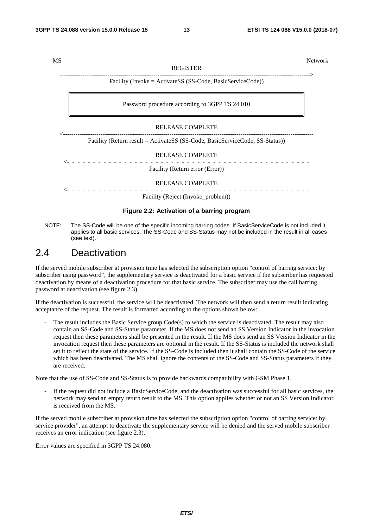MS Network REGISTER ------------------------------------------------------------------------------------------------------------------------>

Facility (Invoke = ActivateSS (SS-Code, BasicServiceCode))

Password procedure according to 3GPP TS 24.010

#### RELEASE COMPLETE <------------------------------------------------------------------------------------------------------------------------

Facility (Return result = ActivateSS (SS-Code, BasicServiceCode, SS-Status))

RELEASE COMPLETE

<- - - - - - - - - - - - - - - - - - - - - - - - - - - - - - - - - - - - - - - - - - - - - - - Facility (Return error (Error))

RELEASE COMPLETE <- - - - - - - - - - - - - - - - - - - - - - - - - - - - - - - - - - - - - - - - - - - - - - -

Facility (Reject (Invoke\_problem))

#### **Figure 2.2: Activation of a barring program**

NOTE: The SS-Code will be one of the specific incoming barring codes. If BasicServiceCode is not included it applies to all basic services. The SS-Code and SS-Status may not be included in the result in all cases (see text).

### 2.4 Deactivation

If the served mobile subscriber at provision time has selected the subscription option "control of barring service: by subscriber using password", the supplementary service is deactivated for a basic service if the subscriber has requested deactivation by means of a deactivation procedure for that basic service. The subscriber may use the call barring password at deactivation (see figure 2.3).

If the deactivation is successful, the service will be deactivated. The network will then send a return result indicating acceptance of the request. The result is formatted according to the options shown below:

The result includes the Basic Service group  $Code(s)$  to which the service is deactivated. The result may also contain an SS-Code and SS-Status parameter. If the MS does not send an SS Version Indicator in the invocation request then these parameters shall be presented in the result. If the MS does send an SS Version Indicator in the invocation request then these parameters are optional in the result. If the SS-Status is included the network shall set it to reflect the state of the service. If the SS-Code is included then it shall contain the SS-Code of the service which has been deactivated. The MS shall ignore the contents of the SS-Code and SS-Status parameters if they are received.

Note that the use of SS-Code and SS-Status is to provide backwards compatibility with GSM Phase 1.

If the request did not include a BasicServiceCode, and the deactivation was successful for all basic services, the network may send an empty return result to the MS. This option applies whether or not an SS Version Indicator is received from the MS.

If the served mobile subscriber at provision time has selected the subscription option "control of barring service: by service provider", an attempt to deactivate the supplementary service will be denied and the served mobile subscriber receives an error indication (see figure 2.3).

Error values are specified in 3GPP TS 24.080.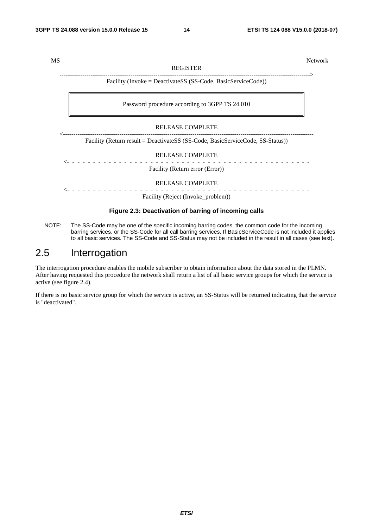| MS | <b>REGISTER</b>                                                                | <b>Network</b> |
|----|--------------------------------------------------------------------------------|----------------|
|    | Facility (Invoke = DeactivateSS (SS-Code, BasicServiceCode))                   |                |
|    | Password procedure according to 3GPP TS 24.010                                 |                |
|    | <b>RELEASE COMPLETE</b>                                                        |                |
|    | Facility (Return result = DeactivateSS (SS-Code, BasicServiceCode, SS-Status)) |                |
|    | <b>RELEASE COMPLETE</b>                                                        |                |
|    | Facility (Return error (Error))                                                |                |
|    | <b>RELEASE COMPLETE</b>                                                        |                |
|    | Facility (Reject (Invoke_problem))                                             |                |

#### **Figure 2.3: Deactivation of barring of incoming calls**

NOTE: The SS-Code may be one of the specific incoming barring codes, the common code for the incoming barring services, or the SS-Code for all call barring services. If BasicServiceCode is not included it applies to all basic services. The SS-Code and SS-Status may not be included in the result in all cases (see text).

### 2.5 Interrogation

The interrogation procedure enables the mobile subscriber to obtain information about the data stored in the PLMN. After having requested this procedure the network shall return a list of all basic service groups for which the service is active (see figure 2.4).

If there is no basic service group for which the service is active, an SS-Status will be returned indicating that the service is "deactivated".

*ETSI*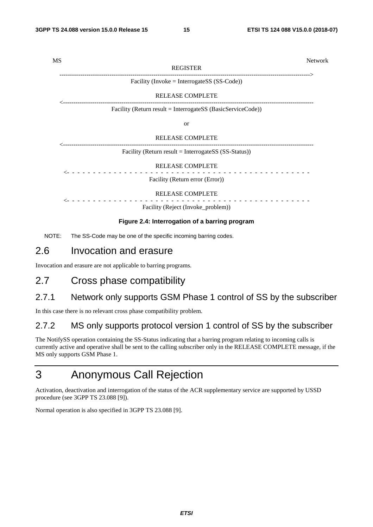| MS |                                                 | <b>Network</b>                      |
|----|-------------------------------------------------|-------------------------------------|
|    | <b>REGISTER</b>                                 |                                     |
|    |                                                 | ----------------------------------> |
|    | Facility (Invoke = Interrogate SS $(SS-Code)$ ) |                                     |
|    |                                                 |                                     |
|    | <b>RELEASE COMPLETE</b>                         |                                     |

<------------------------------------------------------------------------------------------------------------------------ Facility (Return result = InterrogateSS (BasicServiceCode))

or

#### RELEASE COMPLETE

#### <------------------------------------------------------------------------------------------------------------------------

Facility (Return result = InterrogateSS (SS-Status))

#### RELEASE COMPLETE

<- - - - - - - - - - - - - - - - - - - - - - - - - - - - - - - - - - - - - - - - - - - - - - - Facility (Return error (Error))

RELEASE COMPLETE

<- - - - - - - - - - - - - - - - - - - - - - - - - - - - - - - - - - - - - - - - - - - - - - -

Facility (Reject (Invoke\_problem))

#### **Figure 2.4: Interrogation of a barring program**

NOTE: The SS-Code may be one of the specific incoming barring codes.

### 2.6 Invocation and erasure

Invocation and erasure are not applicable to barring programs.

### 2.7 Cross phase compatibility

### 2.7.1 Network only supports GSM Phase 1 control of SS by the subscriber

In this case there is no relevant cross phase compatibility problem.

### 2.7.2 MS only supports protocol version 1 control of SS by the subscriber

The NotifySS operation containing the SS-Status indicating that a barring program relating to incoming calls is currently active and operative shall be sent to the calling subscriber only in the RELEASE COMPLETE message, if the MS only supports GSM Phase 1.

# 3 Anonymous Call Rejection

Activation, deactivation and interrogation of the status of the ACR supplementary service are supported by USSD procedure (see 3GPP TS 23.088 [9]).

Normal operation is also specified in 3GPP TS 23.088 [9].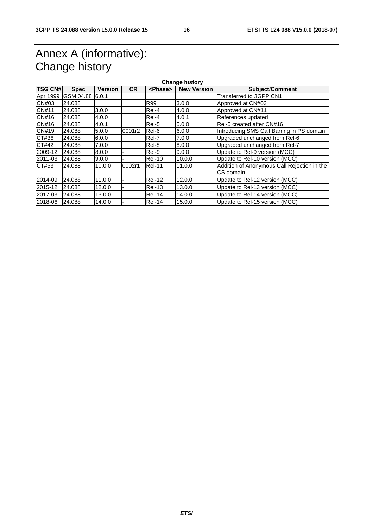# Annex A (informative): Change history

| <b>Change history</b> |                 |         |           |                 |                    |                                             |
|-----------------------|-----------------|---------|-----------|-----------------|--------------------|---------------------------------------------|
| <b>TSG CN#</b>        | <b>Spec</b>     | Version | <b>CR</b> | <phase></phase> | <b>New Version</b> | <b>Subject/Comment</b>                      |
| Apr 1999              | GSM 04.88 6.0.1 |         |           |                 |                    | Transferred to 3GPP CN1                     |
| CN#03                 | 24.088          |         |           | <b>R99</b>      | 3.0.0              | Approved at CN#03                           |
| CN#11                 | 24.088          | 3.0.0   |           | Rel-4           | 4.0.0              | Approved at CN#11                           |
| CN#16                 | 24.088          | 4.0.0   |           | Rel-4           | 4.0.1              | References updated                          |
| CN#16                 | 24.088          | 4.0.1   |           | Rel-5           | 5.0.0              | Rel-5 created after CN#16                   |
| CN#19                 | 24.088          | 5.0.0   | 0001r2    | Rel-6           | 6.0.0              | Introducing SMS Call Barring in PS domain   |
| CT#36                 | 24.088          | 6.0.0   |           | Rel-7           | 7.0.0              | Upgraded unchanged from Rel-6               |
| CT#42                 | 24.088          | 7.0.0   |           | Rel-8           | 8.0.0              | Upgraded unchanged from Rel-7               |
| 2009-12               | 24.088          | 8.0.0   |           | Rel-9           | 9.0.0              | Update to Rel-9 version (MCC)               |
| 2011-03               | 24.088          | 9.0.0   |           | <b>Rel-10</b>   | 10.0.0             | Update to Rel-10 version (MCC)              |
| CT#53                 | 24.088          | 10.0.0  | 0002r1    | <b>Rel-11</b>   | 11.0.0             | Addition of Anonymous Call Rejection in the |
|                       |                 |         |           |                 |                    | CS domain                                   |
| 2014-09               | 24.088          | 11.0.0  |           | <b>Rel-12</b>   | 12.0.0             | Update to Rel-12 version (MCC)              |
| 2015-12               | 24.088          | 12.0.0  |           | <b>Rel-13</b>   | 13.0.0             | Update to Rel-13 version (MCC)              |
| 2017-03               | 24.088          | 13.0.0  |           | <b>Rel-14</b>   | 14.0.0             | Update to Rel-14 version (MCC)              |
| 2018-06               | 24.088          | 14.0.0  |           | <b>Rel-14</b>   | 15.0.0             | Update to Rel-15 version (MCC)              |